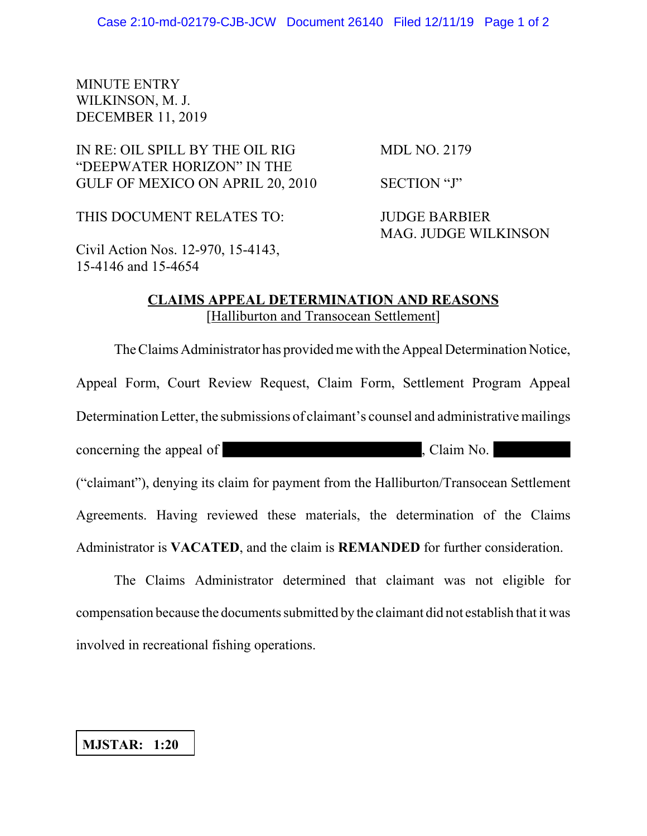## MINUTE ENTRY WILKINSON, M. J. DECEMBER 11, 2019

# IN RE: OIL SPILL BY THE OIL RIG MDL NO. 2179 "DEEPWATER HORIZON" IN THE GULF OF MEXICO ON APRIL 20, 2010 SECTION "J"

THIS DOCUMENT RELATES TO: JUDGE BARBIER

MAG. JUDGE WILKINSON

Civil Action Nos. 12-970, 15-4143, 15-4146 and 15-4654

### **CLAIMS APPEAL DETERMINATION AND REASONS** [Halliburton and Transocean Settlement]

The Claims Administrator has provided me with the Appeal Determination Notice, Appeal Form, Court Review Request, Claim Form, Settlement Program Appeal Determination Letter, the submissions of claimant's counsel and administrative mailings concerning the appeal of  $\blacksquare$ , Claim No. ("claimant"), denying its claim for payment from the Halliburton/Transocean Settlement Agreements. Having reviewed these materials, the determination of the Claims Administrator is **VACATED**, and the claim is **REMANDED** for further consideration.

The Claims Administrator determined that claimant was not eligible for compensation because the documents submitted by the claimant did not establish that it was involved in recreational fishing operations.

#### **MJSTAR: 1:20**